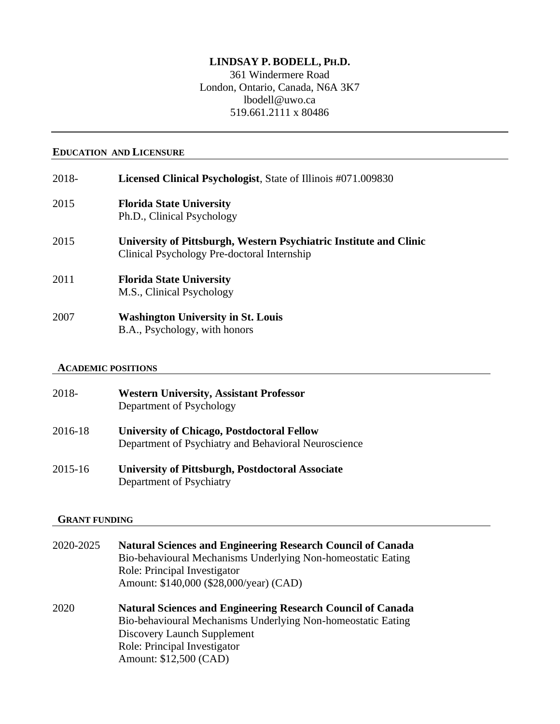# **LINDSAY P. BODELL, PH.D.**

361 Windermere Road London, Ontario, Canada, N6A 3K7 lbodell@uwo.ca 519.661.2111 x 80486

#### **EDUCATION AND LICENSURE**

| 2018- | Licensed Clinical Psychologist, State of Illinois #071.009830                                                     |
|-------|-------------------------------------------------------------------------------------------------------------------|
| 2015  | <b>Florida State University</b><br>Ph.D., Clinical Psychology                                                     |
| 2015  | University of Pittsburgh, Western Psychiatric Institute and Clinic<br>Clinical Psychology Pre-doctoral Internship |
| 2011  | <b>Florida State University</b><br>M.S., Clinical Psychology                                                      |
| 2007  | <b>Washington University in St. Louis</b><br>B.A., Psychology, with honors                                        |

#### **ACADEMIC POSITIONS**

| 2018-   | <b>Western University, Assistant Professor</b><br>Department of Psychology                                |
|---------|-----------------------------------------------------------------------------------------------------------|
| 2016-18 | <b>University of Chicago, Postdoctoral Fellow</b><br>Department of Psychiatry and Behavioral Neuroscience |
| 2015-16 | <b>University of Pittsburgh, Postdoctoral Associate</b><br>Department of Psychiatry                       |

#### **GRANT FUNDING**

| 2020-2025 | <b>Natural Sciences and Engineering Research Council of Canada</b> |
|-----------|--------------------------------------------------------------------|
|           | Bio-behavioural Mechanisms Underlying Non-homeostatic Eating       |
|           | Role: Principal Investigator                                       |
|           | Amount: \$140,000 (\$28,000/year) (CAD)                            |
| 2020      | <b>Natural Sciences and Engineering Research Council of Canada</b> |
|           | Bio-behavioural Mechanisms Underlying Non-homeostatic Eating       |
|           | Discovery Launch Supplement                                        |

Role: Principal Investigator Amount: \$12,500 (CAD)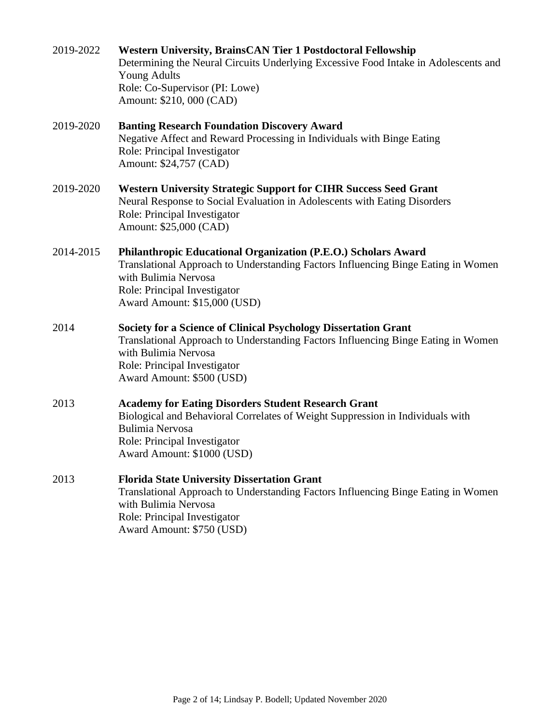| 2019-2022 | <b>Western University, BrainsCAN Tier 1 Postdoctoral Fellowship</b><br>Determining the Neural Circuits Underlying Excessive Food Intake in Adolescents and<br><b>Young Adults</b><br>Role: Co-Supervisor (PI: Lowe)<br>Amount: \$210, 000 (CAD)  |  |
|-----------|--------------------------------------------------------------------------------------------------------------------------------------------------------------------------------------------------------------------------------------------------|--|
| 2019-2020 | <b>Banting Research Foundation Discovery Award</b><br>Negative Affect and Reward Processing in Individuals with Binge Eating<br>Role: Principal Investigator<br>Amount: \$24,757 (CAD)                                                           |  |
| 2019-2020 | <b>Western University Strategic Support for CIHR Success Seed Grant</b><br>Neural Response to Social Evaluation in Adolescents with Eating Disorders<br>Role: Principal Investigator<br>Amount: \$25,000 (CAD)                                   |  |
| 2014-2015 | Philanthropic Educational Organization (P.E.O.) Scholars Award<br>Translational Approach to Understanding Factors Influencing Binge Eating in Women<br>with Bulimia Nervosa<br>Role: Principal Investigator<br>Award Amount: \$15,000 (USD)      |  |
| 2014      | <b>Society for a Science of Clinical Psychology Dissertation Grant</b><br>Translational Approach to Understanding Factors Influencing Binge Eating in Women<br>with Bulimia Nervosa<br>Role: Principal Investigator<br>Award Amount: \$500 (USD) |  |
| 2013      | <b>Academy for Eating Disorders Student Research Grant</b><br>Biological and Behavioral Correlates of Weight Suppression in Individuals with<br><b>Bulimia Nervosa</b><br>Role: Principal Investigator<br>Award Amount: \$1000 (USD)             |  |
| 2013      | <b>Florida State University Dissertation Grant</b><br>Translational Approach to Understanding Factors Influencing Binge Eating in Women<br>with Bulimia Nervosa<br>Role: Principal Investigator<br>Award Amount: \$750 (USD)                     |  |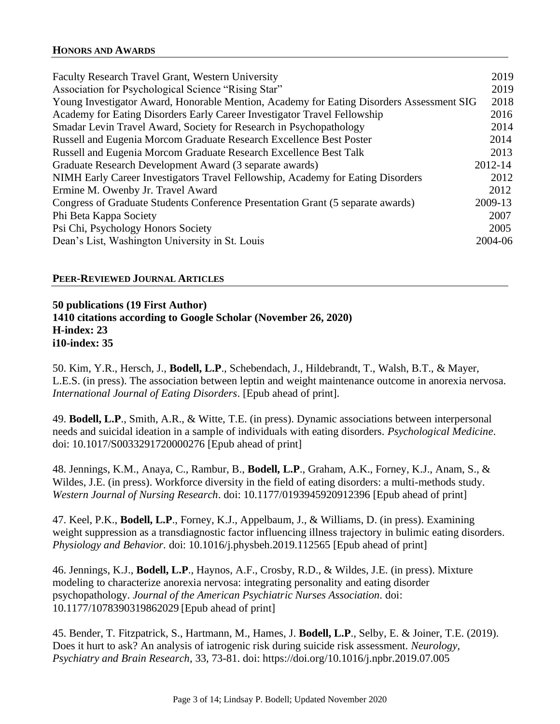| <b>Faculty Research Travel Grant, Western University</b>                                   | 2019 |
|--------------------------------------------------------------------------------------------|------|
| Association for Psychological Science "Rising Star"                                        | 2019 |
| Young Investigator Award, Honorable Mention, Academy for Eating Disorders Assessment SIG   | 2018 |
| Academy for Eating Disorders Early Career Investigator Travel Fellowship                   | 2016 |
| Smadar Levin Travel Award, Society for Research in Psychopathology                         |      |
| Russell and Eugenia Morcom Graduate Research Excellence Best Poster                        | 2014 |
| Russell and Eugenia Morcom Graduate Research Excellence Best Talk                          | 2013 |
| 2012-14<br>Graduate Research Development Award (3 separate awards)                         |      |
| NIMH Early Career Investigators Travel Fellowship, Academy for Eating Disorders            |      |
| Ermine M. Owenby Jr. Travel Award                                                          |      |
| 2009-13<br>Congress of Graduate Students Conference Presentation Grant (5 separate awards) |      |
| Phi Beta Kappa Society                                                                     |      |
| Psi Chi, Psychology Honors Society                                                         | 2005 |
| Dean's List, Washington University in St. Louis<br>2004-06                                 |      |

## **PEER-REVIEWED JOURNAL ARTICLES**

**50 publications (19 First Author) 1410 citations according to Google Scholar (November 26, 2020) H-index: 23 i10-index: 35**

50. Kim, Y.R., Hersch, J., **Bodell, L.P**., Schebendach, J., Hildebrandt, T., Walsh, B.T., & Mayer, L.E.S. (in press). The association between leptin and weight maintenance outcome in anorexia nervosa. *International Journal of Eating Disorders*. [Epub ahead of print].

49. **Bodell, L.P**., Smith, A.R., & Witte, T.E. (in press). Dynamic associations between interpersonal needs and suicidal ideation in a sample of individuals with eating disorders. *Psychological Medicine*. doi: 10.1017/S0033291720000276 [Epub ahead of print]

48. Jennings, K.M., Anaya, C., Rambur, B., **Bodell, L.P**., Graham, A.K., Forney, K.J., Anam, S., & Wildes, J.E. (in press). Workforce diversity in the field of eating disorders: a multi-methods study. *Western Journal of Nursing Research*. doi: 10.1177/0193945920912396 [Epub ahead of print]

47. Keel, P.K., **Bodell, L.P**., Forney, K.J., Appelbaum, J., & Williams, D. (in press). Examining weight suppression as a transdiagnostic factor influencing illness trajectory in bulimic eating disorders. *Physiology and Behavior.* doi: 10.1016/j.physbeh.2019.112565 [Epub ahead of print]

46. Jennings, K.J., **Bodell, L.P**., Haynos, A.F., Crosby, R.D., & Wildes, J.E. (in press). Mixture modeling to characterize anorexia nervosa: integrating personality and eating disorder psychopathology. *Journal of the American Psychiatric Nurses Association.* doi: 10.1177/1078390319862029 [Epub ahead of print]

45. Bender, T. Fitzpatrick, S., Hartmann, M., Hames, J. **Bodell, L.P**., Selby, E. & Joiner, T.E. (2019). Does it hurt to ask? An analysis of iatrogenic risk during suicide risk assessment. *Neurology, Psychiatry and Brain Research*, 33, 73-81. doi: https://doi.org/10.1016/j.npbr.2019.07.005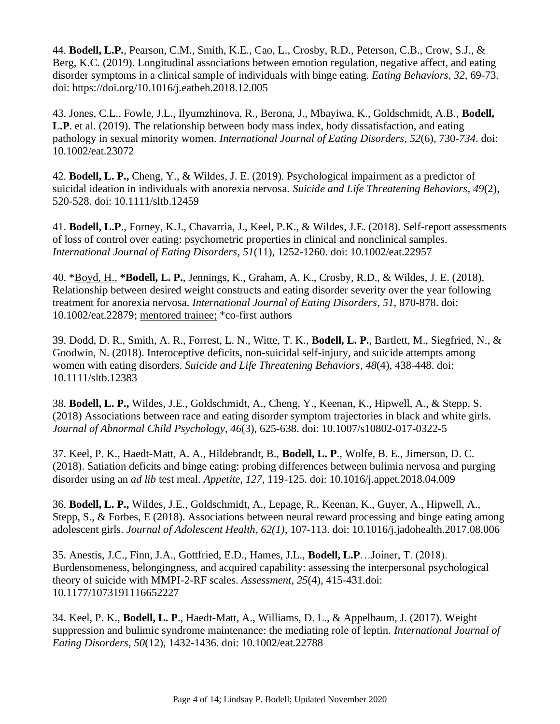44. **Bodell, L.P.**, Pearson, C.M., Smith, K.E., Cao, L., Crosby, R.D., Peterson, C.B., Crow, S.J., & Berg, K.C. (2019). Longitudinal associations between emotion regulation, negative affect, and eating disorder symptoms in a clinical sample of individuals with binge eating. *Eating Behaviors, 32*, 69-73. doi: https://doi.org/10.1016/j.eatbeh.2018.12.005

43. Jones, C.L., Fowle, J.L., Ilyumzhinova, R., Berona, J., Mbayiwa, K., Goldschmidt, A.B., **Bodell, L.P**. et al. (2019). The relationship between body mass index, body dissatisfaction, and eating pathology in sexual minority women. *International Journal of Eating Disorders, 52*(6), 730-*734*. doi: 10.1002/eat.23072

42. **Bodell, L. P.,** Cheng, Y., & Wildes, J. E. (2019). Psychological impairment as a predictor of suicidal ideation in individuals with anorexia nervosa. *Suicide and Life Threatening Behaviors, 49*(2), 520-528. doi: 10.1111/sltb.12459

41. **Bodell, L.P**., Forney, K.J., Chavarria, J., Keel, P.K., & Wildes, J.E. (2018). Self-report assessments of loss of control over eating: psychometric properties in clinical and nonclinical samples. *International Journal of Eating Disorders, 51*(11), 1252-1260. doi: 10.1002/eat.22957

40. \*Boyd, H., **\*Bodell, L. P.**, Jennings, K., Graham, A. K., Crosby, R.D., & Wildes, J. E. (2018). Relationship between desired weight constructs and eating disorder severity over the year following treatment for anorexia nervosa. *International Journal of Eating Disorders, 51,* 870-878. doi: 10.1002/eat.22879; mentored trainee; \*co-first authors

39. Dodd, D. R., Smith, A. R., Forrest, L. N., Witte, T. K., **Bodell, L. P.**, Bartlett, M., Siegfried, N., & Goodwin, N. (2018). Interoceptive deficits, non-suicidal self-injury, and suicide attempts among women with eating disorders. *Suicide and Life Threatening Behaviors, 48*(4), 438-448. doi: 10.1111/sltb.12383

38. **Bodell, L. P.,** Wildes, J.E., Goldschmidt, A., Cheng, Y., Keenan, K., Hipwell, A., & Stepp, S. (2018) Associations between race and eating disorder symptom trajectories in black and white girls. *Journal of Abnormal Child Psychology*, *46*(3), 625-638. doi: 10.1007/s10802-017-0322-5

37. Keel, P. K., Haedt-Matt, A. A., Hildebrandt, B., **Bodell, L. P**., Wolfe, B. E., Jimerson, D. C. (2018). Satiation deficits and binge eating: probing differences between bulimia nervosa and purging disorder using an *ad lib* test meal. *Appetite, 127*, 119-125. doi: 10.1016/j.appet.2018.04.009

36. **Bodell, L. P.,** Wildes, J.E., Goldschmidt, A., Lepage, R., Keenan, K., Guyer, A., Hipwell, A., Stepp, S., & Forbes, E (2018). Associations between neural reward processing and binge eating among adolescent girls. *Journal of Adolescent Health, 62(1)*, 107-113. doi: 10.1016/j.jadohealth.2017.08.006

35. Anestis, J.C., Finn, J.A., Gottfried, E.D., Hames, J.L., **Bodell, L.P**…Joiner, T. (2018). Burdensomeness, belongingness, and acquired capability: assessing the interpersonal psychological theory of suicide with MMPI-2-RF scales. *Assessment*, *25*(4), 415-431.doi: 10.1177/1073191116652227

34. Keel, P. K., **Bodell, L. P**., Haedt-Matt, A., Williams, D. L., & Appelbaum, J. (2017). Weight suppression and bulimic syndrome maintenance: the mediating role of leptin. *International Journal of Eating Disorders*, *50*(12), 1432-1436. doi: 10.1002/eat.22788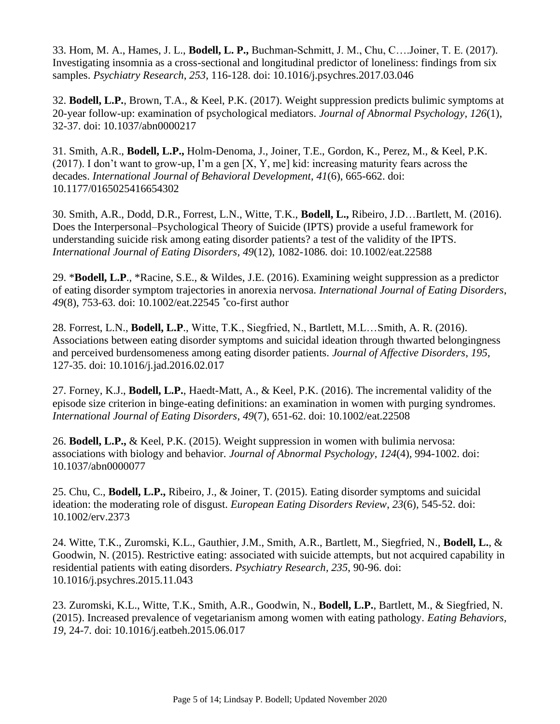33. Hom, M. A., Hames, J. L., **Bodell, L. P.,** Buchman-Schmitt, J. M., Chu, C….Joiner, T. E. (2017). Investigating insomnia as a cross-sectional and longitudinal predictor of loneliness: findings from six samples. *Psychiatry Research*, *253*, 116-128. doi: 10.1016/j.psychres.2017.03.046

32. **Bodell, L.P.**, Brown, T.A., & Keel, P.K. (2017). Weight suppression predicts bulimic symptoms at 20-year follow-up: examination of psychological mediators. *Journal of Abnormal Psychology*, *126*(1), 32-37. doi: 10.1037/abn0000217

31. Smith, A.R., **Bodell, L.P.,** Holm-Denoma, J., Joiner, T.E., Gordon, K., Perez, M., & Keel, P.K. (2017). I don't want to grow-up, I'm a gen [X, Y, me] kid: increasing maturity fears across the decades. *International Journal of Behavioral Development*, *41*(6), 665-662. doi: 10.1177/0165025416654302

30. Smith, A.R., Dodd, D.R., Forrest, L.N., Witte, T.K., **Bodell, L.,** Ribeiro, J.D…Bartlett, M. (2016). Does the Interpersonal–Psychological Theory of Suicide (IPTS) provide a useful framework for understanding suicide risk among eating disorder patients? a test of the validity of the IPTS. *International Journal of Eating Disorders, 49*(12), 1082-1086*.* doi: 10.1002/eat.22588

29. \***Bodell, L.P**., \*Racine, S.E., & Wildes, J.E. (2016). Examining weight suppression as a predictor of eating disorder symptom trajectories in anorexia nervosa. *International Journal of Eating Disorders*, *49*(8), 753-63. doi: 10.1002/eat.22545 *\** co-first author

28. Forrest, L.N., **Bodell, L.P**., Witte, T.K., Siegfried, N., Bartlett, M.L…Smith, A. R. (2016). Associations between eating disorder symptoms and suicidal ideation through thwarted belongingness and perceived burdensomeness among eating disorder patients. *Journal of Affective Disorders*, *195*, 127-35. doi: 10.1016/j.jad.2016.02.017

27. Forney, K.J., **Bodell, L.P.**, Haedt-Matt, A., & Keel, P.K. (2016). The incremental validity of the episode size criterion in binge-eating definitions: an examination in women with purging syndromes. *International Journal of Eating Disorders*, *49*(7), 651-62. doi: 10.1002/eat.22508

26. **Bodell, L.P.,** & Keel, P.K. (2015). Weight suppression in women with bulimia nervosa: associations with biology and behavior. *Journal of Abnormal Psychology*, *124*(4)*,* 994-1002. doi: 10.1037/abn0000077

25. Chu, C., **Bodell, L.P.,** Ribeiro, J., & Joiner, T. (2015). Eating disorder symptoms and suicidal ideation: the moderating role of disgust. *European Eating Disorders Review*, *23*(6)*,* 545-52. doi: 10.1002/erv.2373

24. Witte, T.K., Zuromski, K.L., Gauthier, J.M., Smith, A.R., Bartlett, M., Siegfried, N., **Bodell, L.**, & Goodwin, N. (2015). Restrictive eating: associated with suicide attempts, but not acquired capability in residential patients with eating disorders. *Psychiatry Research, 235*, 90-96. doi: 10.1016/j.psychres.2015.11.043

23. Zuromski, K.L., Witte, T.K., Smith, A.R., Goodwin, N., **Bodell, L.P.**, Bartlett, M., & Siegfried, N. (2015). Increased prevalence of vegetarianism among women with eating pathology. *Eating Behaviors, 19,* 24-7*.* doi: 10.1016/j.eatbeh.2015.06.017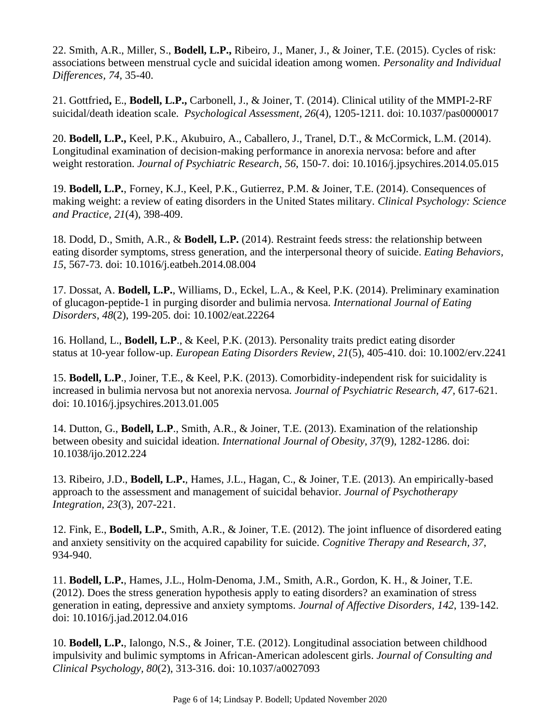22. Smith, A.R., Miller, S., **Bodell, L.P.,** Ribeiro, J., Maner, J., & Joiner, T.E. (2015). Cycles of risk: associations between menstrual cycle and suicidal ideation among women. *Personality and Individual Differences, 74,* 35-40.

21. Gottfried**,** E., **Bodell, L.P.,** Carbonell, J., & Joiner, T. (2014). Clinical utility of the MMPI-2-RF suicidal/death ideation scale. *Psychological Assessment, 26*(4)*,* 1205-1211*.* doi: 10.1037/pas0000017

20. **Bodell, L.P.,** Keel, P.K., Akubuiro, A., Caballero, J., Tranel, D.T., & McCormick, L.M. (2014). Longitudinal examination of decision-making performance in anorexia nervosa: before and after weight restoration. *Journal of Psychiatric Research*, *56*, 150-7. doi: 10.1016/j.jpsychires.2014.05.015

19. **Bodell, L.P.**, Forney, K.J., Keel, P.K., Gutierrez, P.M. & Joiner, T.E. (2014). Consequences of making weight: a review of eating disorders in the United States military. *Clinical Psychology: Science and Practice, 21*(4), 398-409.

18. Dodd, D., Smith, A.R., & **Bodell, L.P.** (2014). Restraint feeds stress: the relationship between eating disorder symptoms, stress generation, and the interpersonal theory of suicide. *Eating Behaviors, 15*, 567-73. doi: 10.1016/j.eatbeh.2014.08.004

17. Dossat, A. **Bodell, L.P.**, Williams, D., Eckel, L.A., & Keel, P.K. (2014). Preliminary examination of glucagon-peptide-1 in purging disorder and bulimia nervosa. *International Journal of Eating Disorders*, *48*(2), 199-205. doi: 10.1002/eat.22264

16. Holland, L., **Bodell, L.P**., & Keel, P.K. (2013). Personality traits predict eating disorder status at 10-year follow-up. *European Eating Disorders Review*, *21*(5), 405-410. doi: 10.1002/erv.2241

15. **Bodell, L.P**., Joiner, T.E., & Keel, P.K. (2013). Comorbidity-independent risk for suicidality is increased in bulimia nervosa but not anorexia nervosa. *Journal of Psychiatric Research, 47,* 617-621. doi: 10.1016/j.jpsychires.2013.01.005

14. Dutton, G., **Bodell, L.P**., Smith, A.R., & Joiner, T.E. (2013). Examination of the relationship between obesity and suicidal ideation. *International Journal of Obesity*, *37*(9), 1282-1286. doi: 10.1038/ijo.2012.224

13. Ribeiro, J.D., **Bodell, L.P.**, Hames, J.L., Hagan, C., & Joiner, T.E. (2013). An empirically-based approach to the assessment and management of suicidal behavior. *Journal of Psychotherapy Integration, 23*(3), 207-221.

12. Fink, E., **Bodell, L.P.**, Smith, A.R., & Joiner, T.E. (2012). The joint influence of disordered eating and anxiety sensitivity on the acquired capability for suicide. *Cognitive Therapy and Research, 37*, 934-940.

11. **Bodell, L.P.**, Hames, J.L., Holm-Denoma, J.M., Smith, A.R., Gordon, K. H., & Joiner, T.E. (2012). Does the stress generation hypothesis apply to eating disorders? an examination of stress generation in eating, depressive and anxiety symptoms. *Journal of Affective Disorders, 142*, 139-142. doi: 10.1016/j.jad.2012.04.016

10. **Bodell, L.P.**, Ialongo, N.S., & Joiner, T.E. (2012). Longitudinal association between childhood impulsivity and bulimic symptoms in African-American adolescent girls. *Journal of Consulting and Clinical Psychology, 80*(2), 313-316. doi: 10.1037/a0027093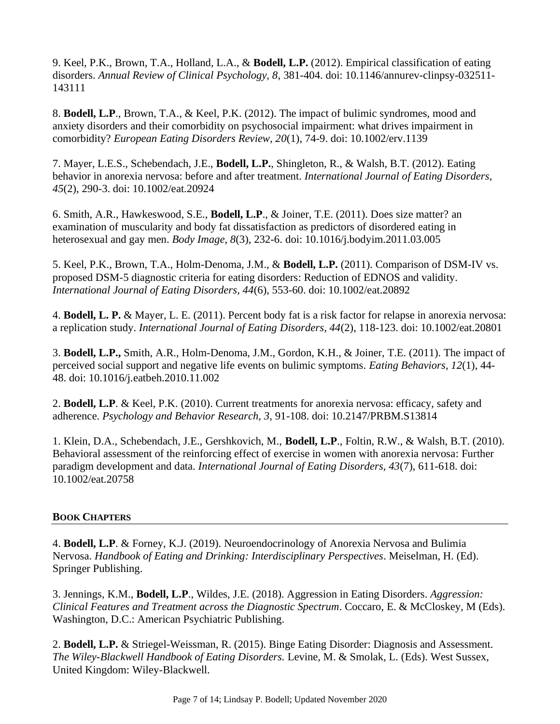9. Keel, P.K., Brown, T.A., Holland, L.A., & **Bodell, L.P.** (2012). Empirical classification of eating disorders. *Annual Review of Clinical Psychology, 8*, 381-404. doi: 10.1146/annurev-clinpsy-032511- 143111

8. **Bodell, L.P**., Brown, T.A., & Keel, P.K. (2012). The impact of bulimic syndromes, mood and anxiety disorders and their comorbidity on psychosocial impairment: what drives impairment in comorbidity? *European Eating Disorders Review, 20*(1), 74-9. doi: 10.1002/erv.1139

7. Mayer, L.E.S., Schebendach, J.E., **Bodell, L.P.**, Shingleton, R., & Walsh, B.T. (2012). Eating behavior in anorexia nervosa: before and after treatment. *International Journal of Eating Disorders, 45*(2), 290-3. doi: 10.1002/eat.20924

6. Smith, A.R., Hawkeswood, S.E., **Bodell, L.P**., & Joiner, T.E. (2011). Does size matter? an examination of muscularity and body fat dissatisfaction as predictors of disordered eating in heterosexual and gay men. *Body Image, 8*(3), 232-6. doi: 10.1016/j.bodyim.2011.03.005

5. Keel, P.K., Brown, T.A., Holm-Denoma, J.M., & **Bodell, L.P.** (2011). Comparison of DSM-IV vs. proposed DSM-5 diagnostic criteria for eating disorders: Reduction of EDNOS and validity. *International Journal of Eating Disorders, 44*(6), 553-60. doi: 10.1002/eat.20892

4. **Bodell, L. P.** & Mayer, L. E. (2011). Percent body fat is a risk factor for relapse in anorexia nervosa: a replication study. *International Journal of Eating Disorders, 44*(2), 118-123. doi: 10.1002/eat.20801

3. **Bodell, L.P.,** Smith, A.R., Holm-Denoma, J.M., Gordon, K.H., & Joiner, T.E. (2011). The impact of perceived social support and negative life events on bulimic symptoms. *Eating Behaviors, 12*(1), 44- 48. doi: 10.1016/j.eatbeh.2010.11.002

2. **Bodell, L.P**. & Keel, P.K. (2010). Current treatments for anorexia nervosa: efficacy, safety and adherence. *Psychology and Behavior Research, 3*, 91-108. doi: 10.2147/PRBM.S13814

1. Klein, D.A., Schebendach, J.E., Gershkovich, M., **Bodell, L.P**., Foltin, R.W., & Walsh, B.T. (2010). Behavioral assessment of the reinforcing effect of exercise in women with anorexia nervosa: Further paradigm development and data. *International Journal of Eating Disorders, 43*(7), 611-618. doi: 10.1002/eat.20758

## **BOOK CHAPTERS**

4. **Bodell, L.P**. & Forney, K.J. (2019). Neuroendocrinology of Anorexia Nervosa and Bulimia Nervosa. *Handbook of Eating and Drinking: Interdisciplinary Perspectives*. Meiselman, H. (Ed). Springer Publishing.

3. Jennings, K.M., **Bodell, L.P**., Wildes, J.E. (2018). Aggression in Eating Disorders. *Aggression: Clinical Features and Treatment across the Diagnostic Spectrum*. Coccaro, E. & McCloskey, M (Eds). Washington, D.C.: American Psychiatric Publishing.

2. **Bodell, L.P.** & Striegel-Weissman, R. (2015). Binge Eating Disorder: Diagnosis and Assessment. *The Wiley-Blackwell Handbook of Eating Disorders.* Levine, M. & Smolak, L. (Eds). West Sussex, United Kingdom: Wiley-Blackwell.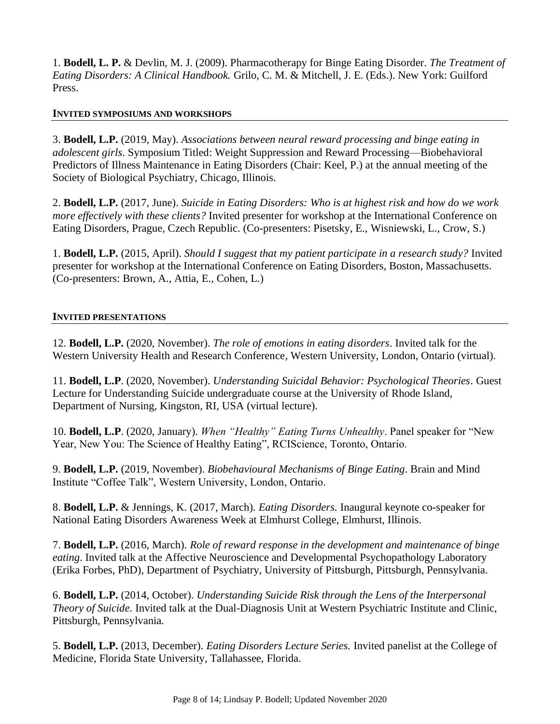1. **Bodell, L. P.** & Devlin, M. J. (2009). Pharmacotherapy for Binge Eating Disorder. *The Treatment of Eating Disorders: A Clinical Handbook.* Grilo, C. M. & Mitchell, J. E. (Eds.). New York: Guilford Press.

### **INVITED SYMPOSIUMS AND WORKSHOPS**

3. **Bodell, L.P.** (2019, May). *Associations between neural reward processing and binge eating in adolescent girls*. Symposium Titled: Weight Suppression and Reward Processing—Biobehavioral Predictors of Illness Maintenance in Eating Disorders (Chair: Keel, P.) at the annual meeting of the Society of Biological Psychiatry, Chicago, Illinois.

2. **Bodell, L.P.** (2017, June). *Suicide in Eating Disorders: Who is at highest risk and how do we work more effectively with these clients?* Invited presenter for workshop at the International Conference on Eating Disorders, Prague, Czech Republic. (Co-presenters: Pisetsky, E., Wisniewski, L., Crow, S.)

1. **Bodell, L.P.** (2015, April). *Should I suggest that my patient participate in a research study?* Invited presenter for workshop at the International Conference on Eating Disorders, Boston, Massachusetts. (Co-presenters: Brown, A., Attia, E., Cohen, L.)

### **INVITED PRESENTATIONS**

12. **Bodell, L.P.** (2020, November). *The role of emotions in eating disorders*. Invited talk for the Western University Health and Research Conference, Western University, London, Ontario (virtual).

11. **Bodell, L.P**. (2020, November). *Understanding Suicidal Behavior: Psychological Theories*. Guest Lecture for Understanding Suicide undergraduate course at the University of Rhode Island, Department of Nursing, Kingston, RI, USA (virtual lecture).

10. **Bodell, L.P**. (2020, January). *When "Healthy" Eating Turns Unhealthy*. Panel speaker for "New Year, New You: The Science of Healthy Eating", RCIScience, Toronto, Ontario.

9. **Bodell, L.P.** (2019, November). *Biobehavioural Mechanisms of Binge Eating*. Brain and Mind Institute "Coffee Talk", Western University, London, Ontario.

8. **Bodell, L.P.** & Jennings, K. (2017, March). *Eating Disorders.* Inaugural keynote co-speaker for National Eating Disorders Awareness Week at Elmhurst College, Elmhurst, Illinois.

7. **Bodell, L.P.** (2016, March). *Role of reward response in the development and maintenance of binge eating*. Invited talk at the Affective Neuroscience and Developmental Psychopathology Laboratory (Erika Forbes, PhD), Department of Psychiatry, University of Pittsburgh, Pittsburgh, Pennsylvania.

6. **Bodell, L.P.** (2014, October). *Understanding Suicide Risk through the Lens of the Interpersonal Theory of Suicide.* Invited talk at the Dual-Diagnosis Unit at Western Psychiatric Institute and Clinic, Pittsburgh, Pennsylvania.

5. **Bodell, L.P.** (2013, December). *Eating Disorders Lecture Series.* Invited panelist at the College of Medicine, Florida State University, Tallahassee, Florida.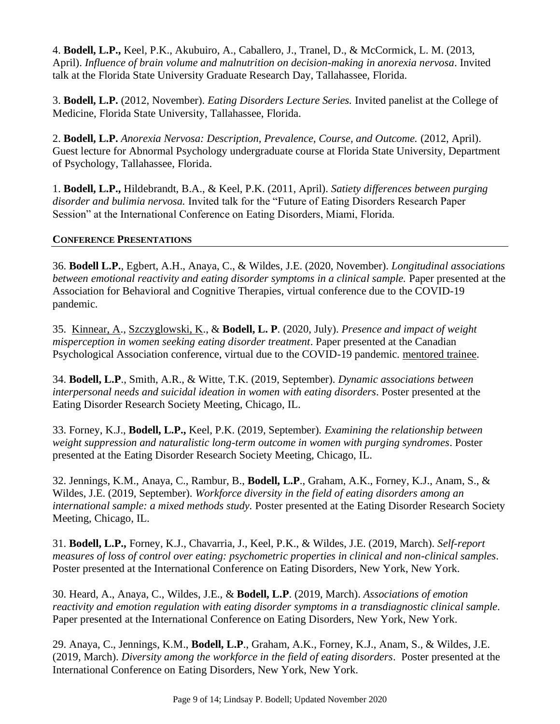4. **Bodell, L.P.,** Keel, P.K., Akubuiro, A., Caballero, J., Tranel, D., & McCormick, L. M. (2013, April). *Influence of brain volume and malnutrition on decision-making in anorexia nervosa*. Invited talk at the Florida State University Graduate Research Day, Tallahassee, Florida.

3. **Bodell, L.P.** (2012, November). *Eating Disorders Lecture Series.* Invited panelist at the College of Medicine, Florida State University, Tallahassee, Florida.

2. **Bodell, L.P.** *Anorexia Nervosa: Description, Prevalence, Course, and Outcome.* (2012, April). Guest lecture for Abnormal Psychology undergraduate course at Florida State University, Department of Psychology, Tallahassee, Florida.

1. **Bodell, L.P.,** Hildebrandt, B.A., & Keel, P.K. (2011, April). *Satiety differences between purging disorder and bulimia nervosa.* Invited talk for the "Future of Eating Disorders Research Paper Session" at the International Conference on Eating Disorders, Miami, Florida.

## **CONFERENCE PRESENTATIONS**

36. **Bodell L.P.**, Egbert, A.H., Anaya, C., & Wildes, J.E. (2020, November). *Longitudinal associations between emotional reactivity and eating disorder symptoms in a clinical sample.* Paper presented at the Association for Behavioral and Cognitive Therapies, virtual conference due to the COVID-19 pandemic.

35. Kinnear, A., Szczyglowski, K., & **Bodell, L. P**. (2020, July). *Presence and impact of weight misperception in women seeking eating disorder treatment*. Paper presented at the Canadian Psychological Association conference, virtual due to the COVID-19 pandemic. mentored trainee.

34. **Bodell, L.P**., Smith, A.R., & Witte, T.K. (2019, September). *Dynamic associations between interpersonal needs and suicidal ideation in women with eating disorders*. Poster presented at the Eating Disorder Research Society Meeting, Chicago, IL.

33. Forney, K.J., **Bodell, L.P.,** Keel, P.K. (2019, September)*. Examining the relationship between weight suppression and naturalistic long-term outcome in women with purging syndromes*. Poster presented at the Eating Disorder Research Society Meeting, Chicago, IL.

32. Jennings, K.M., Anaya, C., Rambur, B., **Bodell, L.P**., Graham, A.K., Forney, K.J., Anam, S., & Wildes, J.E. (2019, September). *Workforce diversity in the field of eating disorders among an international sample: a mixed methods study.* Poster presented at the Eating Disorder Research Society Meeting, Chicago, IL.

31. **Bodell, L.P.,** Forney, K.J., Chavarria, J., Keel, P.K., & Wildes, J.E. (2019, March). *Self-report measures of loss of control over eating: psychometric properties in clinical and non-clinical samples*. Poster presented at the International Conference on Eating Disorders, New York, New York.

30. Heard, A., Anaya, C., Wildes, J.E., & **Bodell, L.P**. (2019, March). *Associations of emotion reactivity and emotion regulation with eating disorder symptoms in a transdiagnostic clinical sample*. Paper presented at the International Conference on Eating Disorders, New York, New York.

29. Anaya, C., Jennings, K.M., **Bodell, L.P**., Graham, A.K., Forney, K.J., Anam, S., & Wildes, J.E. (2019, March). *Diversity among the workforce in the field of eating disorders*. Poster presented at the International Conference on Eating Disorders, New York, New York.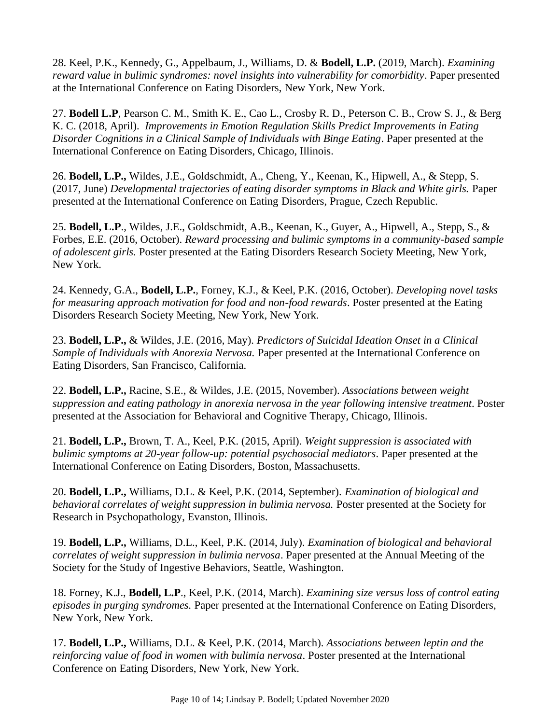28. Keel, P.K., Kennedy, G., Appelbaum, J., Williams, D. & **Bodell, L.P.** (2019, March). *Examining reward value in bulimic syndromes: novel insights into vulnerability for comorbidity*. Paper presented at the International Conference on Eating Disorders, New York, New York.

27. **Bodell L.P**, Pearson C. M., Smith K. E., Cao L., Crosby R. D., Peterson C. B., Crow S. J., & Berg K. C. (2018, April). *Improvements in Emotion Regulation Skills Predict Improvements in Eating Disorder Cognitions in a Clinical Sample of Individuals with Binge Eating*. Paper presented at the International Conference on Eating Disorders, Chicago, Illinois.

26. **Bodell, L.P.,** Wildes, J.E., Goldschmidt, A., Cheng, Y., Keenan, K., Hipwell, A., & Stepp, S. (2017, June) *Developmental trajectories of eating disorder symptoms in Black and White girls.* Paper presented at the International Conference on Eating Disorders, Prague, Czech Republic.

25. **Bodell, L.P**., Wildes, J.E., Goldschmidt, A.B., Keenan, K., Guyer, A., Hipwell, A., Stepp, S., & Forbes, E.E. (2016, October). *Reward processing and bulimic symptoms in a community-based sample of adolescent girls.* Poster presented at the Eating Disorders Research Society Meeting, New York, New York.

24. Kennedy, G.A., **Bodell, L.P.**, Forney, K.J., & Keel, P.K. (2016, October). *Developing novel tasks for measuring approach motivation for food and non-food rewards*. Poster presented at the Eating Disorders Research Society Meeting, New York, New York.

23. **Bodell, L.P.,** & Wildes, J.E. (2016, May). *Predictors of Suicidal Ideation Onset in a Clinical Sample of Individuals with Anorexia Nervosa.* Paper presented at the International Conference on Eating Disorders, San Francisco, California.

22. **Bodell, L.P.,** Racine, S.E., & Wildes, J.E. (2015, November). *Associations between weight suppression and eating pathology in anorexia nervosa in the year following intensive treatment*. Poster presented at the Association for Behavioral and Cognitive Therapy, Chicago, Illinois.

21. **Bodell, L.P.,** Brown, T. A., Keel, P.K. (2015, April). *Weight suppression is associated with bulimic symptoms at 20-year follow-up: potential psychosocial mediators*. Paper presented at the International Conference on Eating Disorders, Boston, Massachusetts.

20. **Bodell, L.P.,** Williams, D.L. & Keel, P.K. (2014, September). *Examination of biological and behavioral correlates of weight suppression in bulimia nervosa.* Poster presented at the Society for Research in Psychopathology, Evanston, Illinois.

19. **Bodell, L.P.,** Williams, D.L., Keel, P.K. (2014, July). *Examination of biological and behavioral correlates of weight suppression in bulimia nervosa*. Paper presented at the Annual Meeting of the Society for the Study of Ingestive Behaviors, Seattle, Washington.

18. Forney, K.J., **Bodell, L.P**., Keel, P.K. (2014, March). *Examining size versus loss of control eating episodes in purging syndromes.* Paper presented at the International Conference on Eating Disorders, New York, New York.

17. **Bodell, L.P.,** Williams, D.L. & Keel, P.K. (2014, March). *Associations between leptin and the reinforcing value of food in women with bulimia nervosa*. Poster presented at the International Conference on Eating Disorders, New York, New York.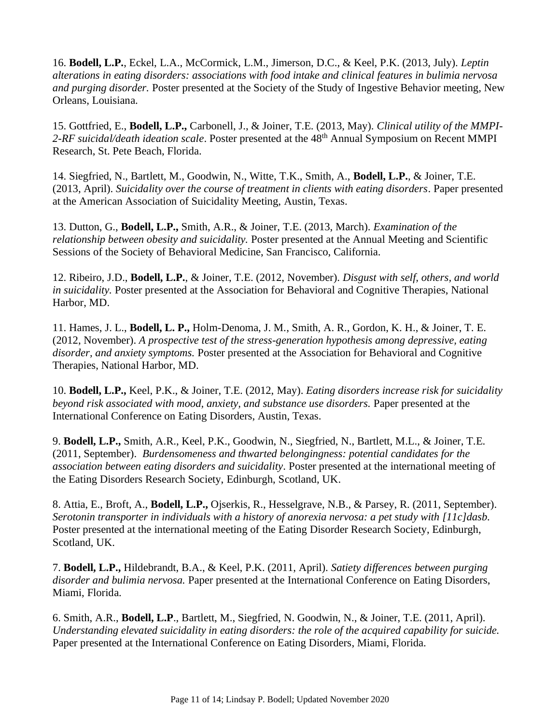16. **Bodell, L.P.**, Eckel, L.A., McCormick, L.M., Jimerson, D.C., & Keel, P.K. (2013, July). *Leptin alterations in eating disorders: associations with food intake and clinical features in bulimia nervosa and purging disorder.* Poster presented at the Society of the Study of Ingestive Behavior meeting, New Orleans, Louisiana.

15. Gottfried, E., **Bodell, L.P.,** Carbonell, J., & Joiner, T.E. (2013, May). *Clinical utility of the MMPI-*2-RF suicidal/death ideation scale. Poster presented at the 48<sup>th</sup> Annual Symposium on Recent MMPI Research, St. Pete Beach, Florida.

14. Siegfried, N., Bartlett, M., Goodwin, N., Witte, T.K., Smith, A., **Bodell, L.P.**, & Joiner, T.E. (2013, April). *Suicidality over the course of treatment in clients with eating disorders*. Paper presented at the American Association of Suicidality Meeting, Austin, Texas.

13. Dutton, G., **Bodell, L.P.,** Smith, A.R., & Joiner, T.E. (2013, March). *Examination of the relationship between obesity and suicidality.* Poster presented at the Annual Meeting and Scientific Sessions of the Society of Behavioral Medicine, San Francisco, California.

12. Ribeiro, J.D., **Bodell, L.P.**, & Joiner, T.E. (2012, November). *Disgust with self, others, and world in suicidality.* Poster presented at the Association for Behavioral and Cognitive Therapies, National Harbor, MD.

11. Hames, J. L., **Bodell, L. P.,** Holm-Denoma, J. M., Smith, A. R., Gordon, K. H., & Joiner, T. E. (2012, November). *A prospective test of the stress-generation hypothesis among depressive, eating disorder, and anxiety symptoms.* Poster presented at the Association for Behavioral and Cognitive Therapies, National Harbor, MD.

10. **Bodell, L.P.,** Keel, P.K., & Joiner, T.E. (2012, May). *Eating disorders increase risk for suicidality beyond risk associated with mood, anxiety, and substance use disorders.* Paper presented at the International Conference on Eating Disorders, Austin, Texas.

9. **Bodell, L.P.,** Smith, A.R., Keel, P.K., Goodwin, N., Siegfried, N., Bartlett, M.L., & Joiner, T.E. (2011, September). *Burdensomeness and thwarted belongingness: potential candidates for the association between eating disorders and suicidality*. Poster presented at the international meeting of the Eating Disorders Research Society, Edinburgh, Scotland, UK.

8. Attia, E., Broft, A., **Bodell, L.P.,** Ojserkis, R., Hesselgrave, N.B., & Parsey, R. (2011, September). *Serotonin transporter in individuals with a history of anorexia nervosa: a pet study with [11c]dasb.* Poster presented at the international meeting of the Eating Disorder Research Society, Edinburgh, Scotland, UK.

7. **Bodell, L.P.,** Hildebrandt, B.A., & Keel, P.K. (2011, April). *Satiety differences between purging disorder and bulimia nervosa.* Paper presented at the International Conference on Eating Disorders, Miami, Florida.

6. Smith, A.R., **Bodell, L.P**., Bartlett, M., Siegfried, N. Goodwin, N., & Joiner, T.E. (2011, April). *Understanding elevated suicidality in eating disorders: the role of the acquired capability for suicide.*  Paper presented at the International Conference on Eating Disorders, Miami, Florida.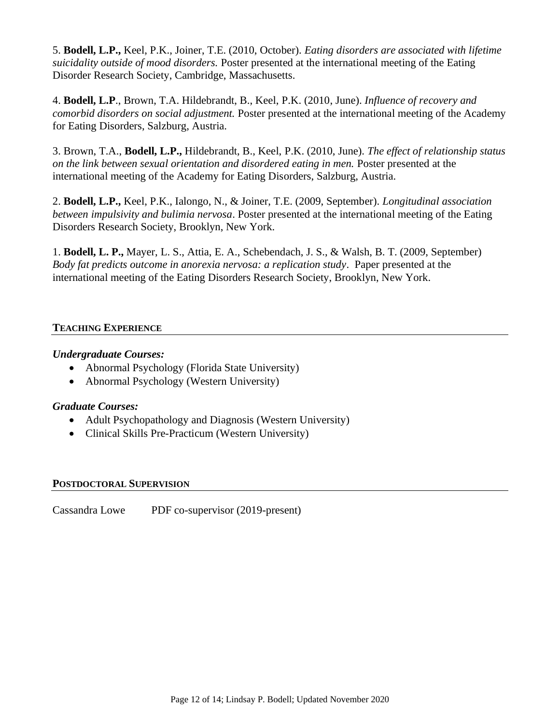5. **Bodell, L.P.,** Keel, P.K., Joiner, T.E. (2010, October). *Eating disorders are associated with lifetime suicidality outside of mood disorders.* Poster presented at the international meeting of the Eating Disorder Research Society, Cambridge, Massachusetts.

4. **Bodell, L.P**., Brown, T.A. Hildebrandt, B., Keel, P.K. (2010, June). *Influence of recovery and comorbid disorders on social adjustment.* Poster presented at the international meeting of the Academy for Eating Disorders, Salzburg, Austria.

3. Brown, T.A., **Bodell, L.P.,** Hildebrandt, B., Keel, P.K. (2010, June). *The effect of relationship status on the link between sexual orientation and disordered eating in men.* Poster presented at the international meeting of the Academy for Eating Disorders, Salzburg, Austria.

2. **Bodell, L.P.,** Keel, P.K., Ialongo, N., & Joiner, T.E. (2009, September). *Longitudinal association between impulsivity and bulimia nervosa*. Poster presented at the international meeting of the Eating Disorders Research Society, Brooklyn, New York.

1. **Bodell, L. P.,** Mayer, L. S., Attia, E. A., Schebendach, J. S., & Walsh, B. T. (2009, September) *Body fat predicts outcome in anorexia nervosa: a replication study*.Paper presented at the international meeting of the Eating Disorders Research Society, Brooklyn, New York.

## **TEACHING EXPERIENCE**

## *Undergraduate Courses:*

- Abnormal Psychology (Florida State University)
- Abnormal Psychology (Western University)

## *Graduate Courses:*

- Adult Psychopathology and Diagnosis (Western University)
- Clinical Skills Pre-Practicum (Western University)

### **POSTDOCTORAL SUPERVISION**

Cassandra Lowe PDF co-supervisor (2019-present)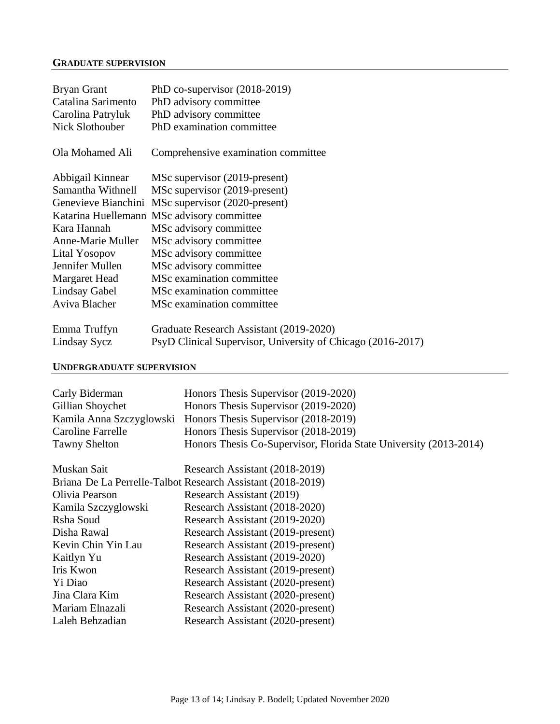#### **GRADUATE SUPERVISION**

| <b>Bryan Grant</b>       | PhD co-supervisor $(2018-2019)$                             |
|--------------------------|-------------------------------------------------------------|
| Catalina Sarimento       | PhD advisory committee                                      |
| Carolina Patryluk        | PhD advisory committee                                      |
| Nick Slothouber          | PhD examination committee                                   |
| Ola Mohamed Ali          | Comprehensive examination committee                         |
| Abbigail Kinnear         | MSc supervisor (2019-present)                               |
| Samantha Withnell        | MSc supervisor (2019-present)                               |
| Genevieve Bianchini      | MSc supervisor (2020-present)                               |
|                          | Katarina Huellemann MSc advisory committee                  |
| Kara Hannah              | MSc advisory committee                                      |
| <b>Anne-Marie Muller</b> | MSc advisory committee                                      |
| Lital Yosopov            | MSc advisory committee                                      |
| Jennifer Mullen          | MSc advisory committee                                      |
| Margaret Head            | MSc examination committee                                   |
| Lindsay Gabel            | MSc examination committee.                                  |
| Aviva Blacher            | MSc examination committee.                                  |
| Emma Truffyn             | Graduate Research Assistant (2019-2020)                     |
| Lindsay Sycz             | PsyD Clinical Supervisor, University of Chicago (2016-2017) |

#### **UNDERGRADUATE SUPERVISION**

| Honors Thesis Supervisor (2019-2020)<br>Honors Thesis Supervisor (2019-2020)<br>Honors Thesis Supervisor (2018-2019)<br>Honors Thesis Supervisor (2018-2019)<br>Honors Thesis Co-Supervisor, Florida State University (2013-2014) |  |  |  |
|-----------------------------------------------------------------------------------------------------------------------------------------------------------------------------------------------------------------------------------|--|--|--|
| Research Assistant (2018-2019)                                                                                                                                                                                                    |  |  |  |
| Briana De La Perrelle-Talbot Research Assistant (2018-2019)                                                                                                                                                                       |  |  |  |
| Research Assistant (2019)                                                                                                                                                                                                         |  |  |  |
| Research Assistant (2018-2020)                                                                                                                                                                                                    |  |  |  |
| Research Assistant (2019-2020)                                                                                                                                                                                                    |  |  |  |
| Research Assistant (2019-present)                                                                                                                                                                                                 |  |  |  |
| Research Assistant (2019-present)                                                                                                                                                                                                 |  |  |  |
| Research Assistant (2019-2020)                                                                                                                                                                                                    |  |  |  |
| Research Assistant (2019-present)                                                                                                                                                                                                 |  |  |  |
| Research Assistant (2020-present)                                                                                                                                                                                                 |  |  |  |
| Research Assistant (2020-present)                                                                                                                                                                                                 |  |  |  |
| Research Assistant (2020-present)                                                                                                                                                                                                 |  |  |  |
| Research Assistant (2020-present)                                                                                                                                                                                                 |  |  |  |
|                                                                                                                                                                                                                                   |  |  |  |